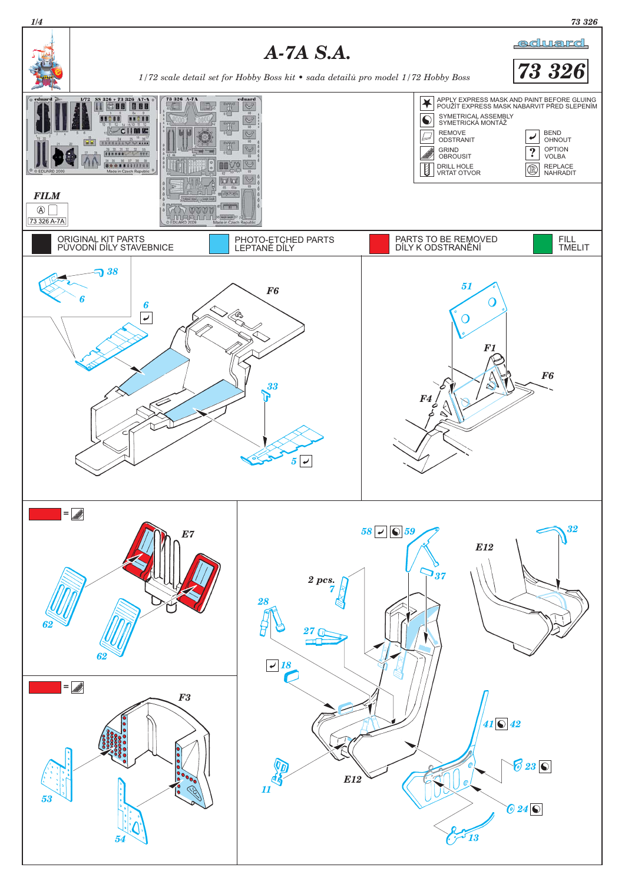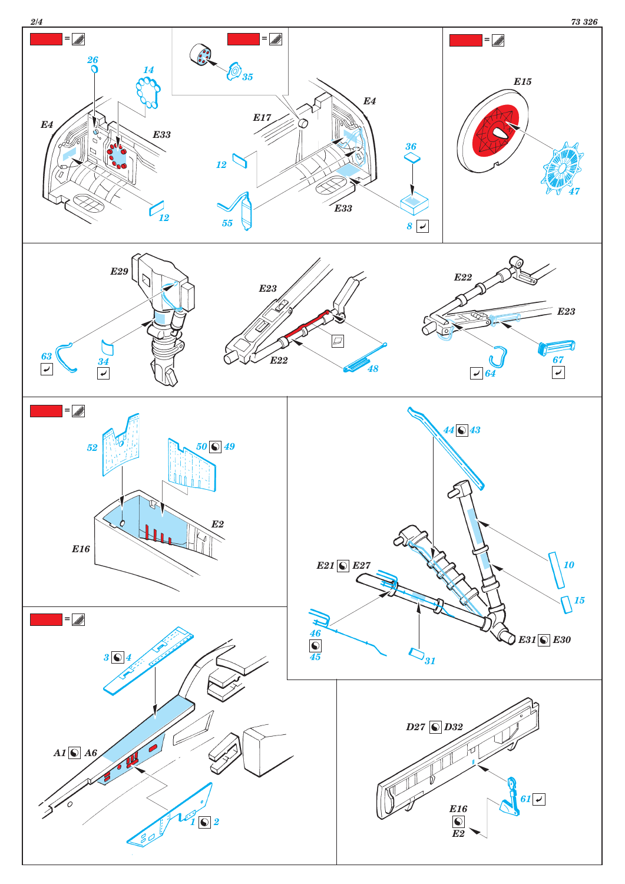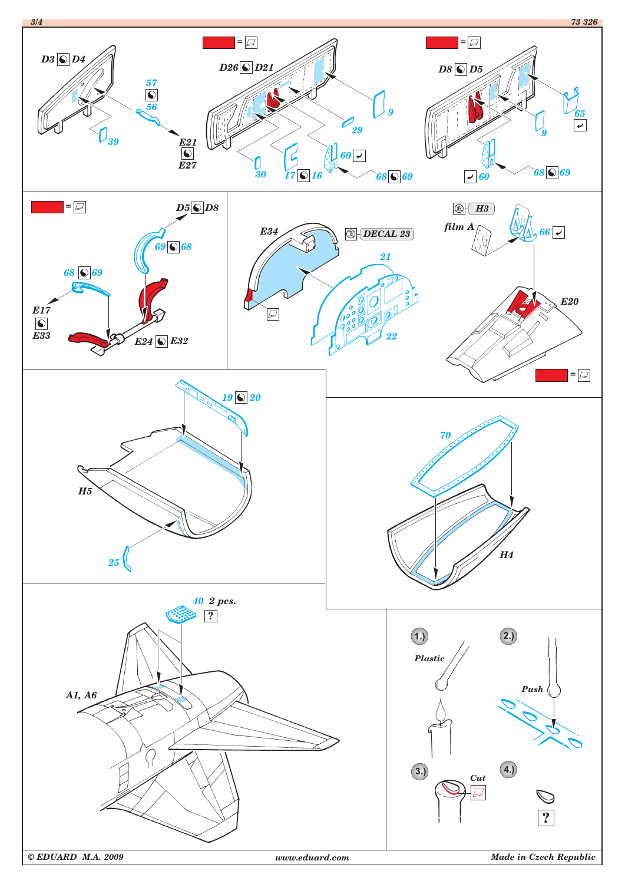